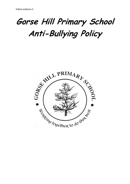# **Gorse Hill Primary School Anti-Bullying Policy**

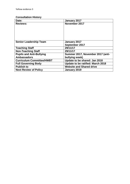# **Consultation History**

| Date:                            | January 2017                      |  |
|----------------------------------|-----------------------------------|--|
| <b>Reviews:</b>                  | November 2017                     |  |
|                                  |                                   |  |
|                                  |                                   |  |
|                                  |                                   |  |
|                                  |                                   |  |
|                                  |                                   |  |
| <b>Senior Leadership Team</b>    | January 2017                      |  |
|                                  | September 2017                    |  |
| <b>Teaching Staff</b>            | 29/11/17                          |  |
| <b>Non-Teaching Staff</b>        | 29/11/17                          |  |
| <b>Pupils and Anti-Bullying</b>  | Summer 2017, November 2017 (anti- |  |
| <b>Ambassadors</b>               | bullying week)                    |  |
| <b>Curriculum Committee/HWBT</b> | Update to be shared: Jan 2018     |  |
| <b>Full Governing Body</b>       | Update to be ratified: March 2018 |  |
| <b>Publish to</b>                | <b>Website and Shared drive</b>   |  |
| <b>Next Review of Policy</b>     | January 2019                      |  |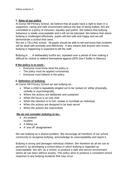## **1. Aims of our policy**

At Gorse Hill Primary School, we believe that all pupils have a right to learn in a supportive, caring and safe environment without the fear of being bullied. We are committed to a policy of inclusion, equality and justice. We believe that bullying behaviour is totally unacceptable and it will not be tolerated. We believe that where bullying is challenged effectively, pupils will feel safe and happy and we will demonstrate a school that cares.

We are a TELLING school. All pupils should be able to tell and know that incidents will be dealt with promptly and effectively. It also means that anyone who knows bullying is happening is expected to tell the staff.

Bullying is …. A deliberately hurtful act, repeated over a period of time making it difficult for victims to defend themselves against.(DFE Don't Suffer in Silence).

### **If the policy is to work:-**

- Everyone must know what the policy is
- The policy must be applied consistently
- Everyone must believe in the policy

# **2. Definition of bullying:**

At Gorse Hill Primary School we see bullying as:-

- When a child is repeatedly singled out to be 'picked on' either physically, verbally or psychologically
- Where the actions are deliberate and sustained
- When the focus is on one child
- When the intention is to hurt, isolate or humiliate an individual
- When the actions are designed to be kept secret
- When the actions are unprovoked

#### **We do not consider bullying to be:-**

- An isolated incident
- A falling out
- A 'one off' disagreement

We see bullying as a shared problem. We encourage all members of our school community to recognise bullying, acknowledge its unacceptability and report it.

Bullying is wrong and damages individual children. We therefore do all we can to prevent it, by developing a school ethos in which bullying is regarded as unacceptable. We aim, as a school, to produce a safe and secure environment where all can learn without anxiety. This policy aims to produce a consistent school response to any bullying incidents that may occur.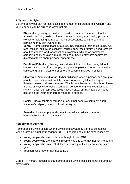# **3. Types of Bullying**

Bullying behaviour can represent itself in a number of different forms. Children and young people can be bullied in ways that are:

- **Physical** by being hit, pushed, tripped up, punched, spat at or touched against one's will; made to give up money or belongings; having property, clothes or belonging damaged; hiding possessions, being forced to do something they don't want to do.
- **Verbal** –Name calling, teased, taunted, insulted about their background, e.g. race, religion, culture or disability; insulted about their family, unkind remarks about someone's work or school achievements, whispered comments, spreading nasty or false rumours, making or having offensive comments directed at them about personal appearance
- **Emotional/Silent**  by having nasty stories told about then; being left out, ignored or excluded from groups, being sent unpleasant notes or made the subject of graffiti. Incitement of others to become involved in bullying.
- **Electronic / 'cyberbullying'** Cyber bullying is when a person, or a group of people, uses the internet, mobile phones or other digital technologies to threaten, tease or abuse someone. This is not tolerated at this school. There are lots of ways cyber bullies can target someone, e.g. via text message; instant messenger services; social network sites; email; images or videos posted on the internet or spread via mobile phones.
- **Racial** Racial taunts or remarks or any other negative comment about someone's religion, race or cultural background.
- **Sexual** Unwanted physical contact, sexually abusive comments, homophobic insults or comments.

# **Homophobic Bullying**

Homophobic bullying occurs when bullying is motivated by a prejudice against lesbian, gay, bisexual or transgender (LGBT) people and can be experienced by;

- Young people who are or who are thought to be LGBT
- Young people who are different in some way and who may not act like others
- Young people who have LGBT friends or family or their parents/carers are gay
- Teachers who may or may not be LGBT

Gorse Hill Primary recognises that homophobic bullying looks like other bullying but may include;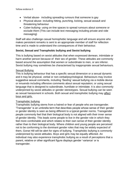- Verbal abuse- including spreading rumours that someone is gay
- Physical abuse- including hitting, punching, kicking, sexual assault and threatening behaviour
- Cyber-bullying- using on-line spaces to spread rumours about someone or exclude them (This can include text messaging including private and vide messaging)

Staff will also challenge casual homophobic language and will ensure anyone who makes persistent remarks is sent to an appropriate member of staff for reflection time and is made to understand the consequences of their behaviour.

# **Sexist, Sexual and Transphobic bullying and Sexist bullying**

This is bullying based on sexist attitudes that when expressed demean, intimidate or harm another person because of their sex of gender. These attitudes are commonly based around the assumption that women or subordinate to men, or are inferior. Sexist bullying may sometimes be characterised by inappropriate sexual behaviours.

### Sexual Bullying

This is bullying behaviour that has a specific sexual dimension or a sexual dynamic and it may be physical, verbal or non-verbal/psychological. Behaviours may involve suggestive sexual comments, including 'Sexting' sexual bullying via a mobile device or innuendo including offensive comments about sexual reputation; or using sexual language that is designed to subordinate, humiliate or intimidate. It is also commonly underpinned by sexist attitudes or gender stereotypes. Sexual bullying can be seen as sexual harassment in schools. Both sexual and transphobic bullying may affect boys and girls.

# Transphobic bullying

Transphobic bullying stems from a hatred or fear of people who are transgender. 'Transgender' is an umbrella term that describes people whose sense of their gender or gender identity is seen as being different to a typical gender norms. Transgender people commonly feel that their biological body is not aligned with their inner sense of gender identity. This leads some people to live in the gender role in which they feel more comfortable and which relates to their own sense of their gender identity rather than to their biological body. Where children and young people are perceived not to be conforming to the dominant gender roles that may be widely expected of them, Gorse Hill will be alert for signs of bullying. Transphobic bullying is commonly underpinned by sexist attitudes. Boys and girls may be equally affected. An individual may also experience transphobic bullying as a result of perceptions that a parent, relative or other significant figure displays gender 'variance' or is transgender.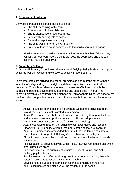# **4. Symptoms of bullying**

Early signs that a child is being bullied could be:

- The child becoming withdrawn
- A deterioration in the child's work
- **•** Erratic attendance or spurious illness
- Persistently arriving late at school
- General unhappiness or anxiety
- The child wanting to remain with adults
- Sudden outbursts not in common with the child's normal behaviour

Physical symptoms could include headaches, stomach aches, fainting, fits, vomiting or hyperventilation. Victims can become depressed and this can continue into their adult lives.

# **5. Preventing Bullying**

At Gorse Hill Primary School, we believe an Anti-Bullying Policy is about being proactive as well as reactive and we seek to actively prevent bullying.

In order to eradicate bullying, the school promotes an anti-bullying ethos with the intention of safeguarding pupils' rights and deterring anti-social and unkind behaviour. The school raises awareness of the nature of bullying through the curriculum, personal development, mentoring and assemblies. Through the following preventative strategies and planned curricular opportunities, we hope to lay the foundations of positive behaviour and to eliminate bullying before it becomes an issue.

- Actively developing an ethos in school where we deplore bullying and are 'proud' that bullying is not tolerated in our school
- Active Behaviour Policy that is implemented consistently throughout school and a reward system for positive behaviour. All staff will praise and encourage cooperative behaviour. (see Behaviour Policy)
- Awareness raising through Anti-Bullying week, assemblies and lessons
- Clear Anti-Bullying policy which all members of the school are aware of
- Anti-Bullying messages embedded throughout the academic and pastoral curriculum and through Anti Bullying Week in November each year
- Circle Time opportunities for children to discuss sensitive issues in a safe environment
- Positive action to prevent bullying within PHSE, SUMO, Computing and within other curriculum areas.
- Pupil consultation through questionnaires, School Council and Anti-Bullying pupil ambassadors
- Positive role models reflected through staff behaviour by showing that is is better for everyone to respect and care for each other.
- Developing and supporting home, school and community partnerships
- Anti-Bulling posters and displays will be evident around school.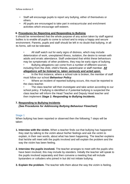- Staff will encourage pupils to report any bullying, either of themselves or others.
- All pupils are encouraged to take part in extracurricular and enrichment activities which encourage self-esteem.

# **6. Procedures for Reporting and Responding to Bullying**

It should be remembered that the whole purpose of any action taken by staff against bullies is to enable all pupils to come to school and to enjoy a happy and secure environment. Parents, pupils and staff should be left in no doubt that bullying, in all its forms, will not be tolerated.

All staff watch out for early signs of distress, which may include deterioration of work, unexplained illness, isolation, the desire to remain with adults and erratic attendance. Staff understand that whilst these behaviours may be symptomatic of other problems, they may be early signs of bullying.

• Bullying allegations can come from a number of different sources including from the child, child's friends, parent/carer or staff member. *All allegations will be listened to, taken seriously and acted upon.* 

• In the first instance, where a school rule is broken, the member of staff must follow our school *Behaviour Policy*.

Where an incident of reported bullying occurs, this must be reported to the class teacher.

The class teacher will then investigate and take action according to our school policy. If bullying is identified or if potential bullying is suspected the class teacher will inform the Head Teacher and Deputy Head teacher and then implement *Stage 1: Responding to Bullying Incidents.* 

# **7. Responding to Bullying Incidents**

*(See Procedures for Addressing Bullying Behaviour Flowchart)* 

# Stage 1

When bullying has been reported or observed then the following 7 steps will be taken:

- **1. Interview with the victim.** When a teacher finds out that bullying has happened they start by talking to the victim about his/her feelings and ask the victim to explain, in their own words, about what has been happening. The teacher explains that he/she will meet with the pupils involved and will explain the problem and the way the victim has been feeling.
- **2. Interview the pupils involved.** The teacher arranges to meet with the pupils who have been involved, this may include by-standers. Initially the teacher will speak to the pupils involved separately and then convene a meeting that will include bystanders or colluders who joined in but did not initiate bullying.
- **3. Explain the problem.** The teacher tells them about the way the victim is feeling.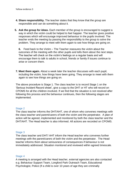- **4. Share responsibility.** The teacher states that they know that the group are responsible and can do something about it.
- **5. Ask the group for ideas.** Each member of the group is encouraged to suggest a way in which the victim could be helped to feel happier. The teacher gives positive responses which will encourage improved behaviour in the pupils involved. The teacher ends the meeting by passing the responsibility to the group to solve the problem. They arrange to meet with them again to see how things are going on.

**6.** Feed back to the Victim – The Teacher reassures the victim about the outcomes of the meeting with the other pupils and tells them about the next steps. The teacher will check on the victim's feelings on a regular basis and will encourage them to talk to adults in school, friends or family if issues continue to arise or concern them.

**7. Meet them again.** About a week later the teacher discusses with each pupil, including the victim, how things have been going. They arrange to meet with them again to see how things are going on.

The above procedure is Stage 1. The class teacher is to record Stage 1 on the 'Serious Incident Record sheet', give a copy to the DHT or HT who will record on CPOMS for all the children involved. If we find that the situation is not resolved after following this process and the behaviour continues, then the following stages are implemented.

#### Stage 2

The class teacher informs the DHT/AHT, one of whom who convenes meetings with the class teacher and parent/carers of both the victim and the perpetrator. A plan of action will be agreed, implemented and monitored by both the class teacher and the DHT/AHT. The Head teacher is also informed. All actions are recorded on CPOMS.

#### Stage 3

The class teacher and DHT/ AHT inform the Head teacher who convenes further meetings with the parent/carers of both the victim and the perpetrator. The Head teacher informs them about seriousness of consequences if behaviour is not immediately addressed. Situation monitored and reviewed within agreed timescale.

#### Stage 4

A meeting is arranged with the Head teacher, external agencies are also contacted e.g. Behaviour Support Team, Longford Park Outreach Team, Educational Psychologist, Police (If a child is over 10 years of age they are criminally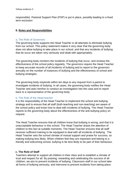responsible). Pastoral Support Plan (PSP) is put in place, possibly leading to a fixed term exclusion

#### **8. Roles and Responsibilities**

#### a. The Role of Governors

The governing body supports the Head Teacher in all attempts to eliminate bullying from our school. This policy statement makes it very clear that the governing body does not allow bullying to take place in our school, and that any incidents of bullying that do occur are taken very seriously and dealt with appropriately.

The governing body monitors the incidents of bullying that occur, and reviews the effectiveness of the school policy regularly. The governors require the Head Teacher to keep accurate records of all incidents of bullying and to report to the governors annually on the number of instances of bullying and the effectiveness of school antibullying strategies.

The governing body responds within ten days to any request from a parent to investigate incidents of bullying. In all cases, the governing body notifies the Head Teacher and asks him/her to conduct an investigation into the case and to report back to a representative of the governing body.

#### b. The Role of the Head teacher

It is the responsibility of the Head Teacher to implement the school anti-bullying strategy and to ensure that all staff (both teaching and non-teaching) are aware of the school policy and know how to deal with incidents of bullying. The Head Teacher reports to the governing body about the effectiveness of the anti-bullying policy on request.

The Head Teacher ensures that all children know that bullying is wrong, and that it is unacceptable behaviour in this school. The Head Teacher draws the attention of children to this fact at suitable moments. The Head Teacher ensures that all staff receives sufficient training to be equipped to deal with all incidents of bullying. The Head Teacher sets the school climate of mutual support and praise for success, so making bullying less likely. When children feel they are important and belong to a friendly and welcoming school, bullying is far less likely to be part of their behaviour.

#### **c. The Role of Staff**

Teachers attempt to support all children in their class and to establish a climate of trust and respect for all. By praising, rewarding and celebrating the success of all children, we aim to prevent incidents of bullying. Classroom staff in our school take all forms of bullying seriously, and intervene to prevent incidents from taking place.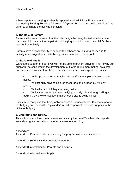Where a potential bullying incident is reported, staff will follow 'Procedures for Addressing Bullying Behaviour' flowchart' *(Appendix 1)* and record / date all actions taken to eliminate the bullying behaviour.

#### **d. The Role of Parents**

Parents, who are concerned that their child might be being bullied, or who suspect that their child may be the perpetrator of bullying, should contact their child's class teacher immediately.

Parents have a responsibility to support the school's anti-bullying policy and to actively encourage their child to be a positive member of the school.

### **e. The role of Pupils**

Without the support of pupils, we will not be able to prevent bullying. That is why our pupils will be consulted in the development of Gorse Hill Primary School as a safe and secure environment for them to achieve and learn. We expect that pupils:

- Will support the Head teacher and staff in the implementation of the policy.
- Will not bully anyone else, or encourage and support bullying by others.
- Will tell an adult if they are being bullied.
- Will act to prevent and stop bullying, usually this is through telling an adult if they know or suspect that someone else is being bullied.

Pupils must recognise that being a "bystander" is not acceptable. Silence supports the bullying and makes the "bystander" in part responsible for what happens to the victim of bullying.

#### **9. Monitoring and Review**

This policy is monitored on a day-to-day basis by the Head Teacher, who reports annually to governors about the effectiveness of the policy.

#### Appendices

Appendix 1: Procedures for addressing Bullying Behaviour and incidents

Appendix 2 Serious Incident Record Sheet/Log

Appendix 3 Information for Parents and Families

Appendix 4 Information for Pupils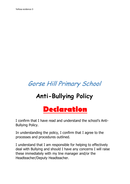# Gorse Hill Primary School

# **Anti-Bullying Policy**



I confirm that I have read and understand the school's Anti-Bullying Policy.

In understanding the policy, I confirm that I agree to the processes and procedures outlined.

I understand that I am responsible for helping to effectively deal with Bullying and should I have any concerns I will raise these immediately with my line manager and/or the Headteacher/Deputy Headteacher.